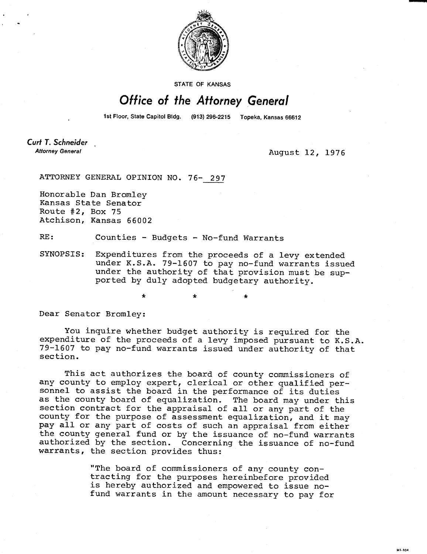

STATE OF KANSAS

## Office of the Attorney General

1st Floor, State Capitol Bldg. (913) 296-2215 Topeka, Kansas 66612

**Curt T. Schneider Attorney General** 

August 12, 1976

**MI-104** 

ATTORNEY GENERAL OPINION NO. 76- 297

Honorable Dan Bromley Kansas State Senator Route #2, Box 75 Atchison, Kansas 66002

RE: Counties - Budgets - No-fund Warrants

SYNOPSIS: Expenditures from the proceeds of a levy extended under K.S.A. 79-1607 to pay no-fund warrants issued under the authority of that provision must be supported by duly adopted budgetary authority.

\*

Dear Senator Bromley:

You inquire whether budget authority is required for the expenditure of the proceeds of a levy imposed pursuant to K.S.A. 79-1607 to pay no-fund warrants issued under authority of that section.

This act authorizes the board of county commissioners of any county to employ expert, clerical or other qualified personnel to assist the board in the performance of its duties as the county board of equalization. The board may under this section contract for the appraisal of all or any part of the county for the purpose of assessment equalization, and it may pay all or any part of costs of such an appraisal from either the county general fund or by the issuance of no-fund warrants authorized by the section. Concerning the issuance of no-fund warrants, the section provides thus:

> "The board of commissioners of any county contracting for the purposes hereinbefore provided is hereby authorized and empowered to issue nofund warrants in the amount necessary to pay for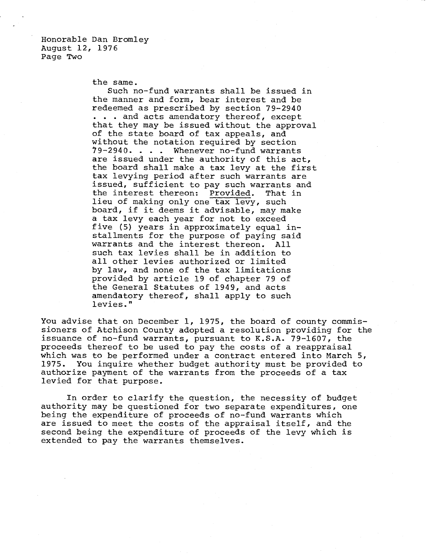Honorable Dan Bromley August 12, 1976 Page Two

the same.

Such no-fund warrants shall be issued in the manner and form, bear interest and be redeemed as prescribed by section 79-2940 . . . and acts amendatory thereof, except that they may be issued without the approval of the state board of tax appeals, and without the notation required by section 79-2940. . . . Whenever no-fund warrants are issued under the authority of this act, the board shall make a tax levy at the first tax levying period after such warrants are issued, sufficient to pay such warrants and<br>the interest thereon: Provided. That in the interest thereon: Provided. That in lieu of making only one tax levy, such board, if it deems it advisable, may make a tax levy each year for not to exceed five (5) years in approximately equal installments for the purpose of paying said warrants and the interest thereon. All such tax levies shall be in addition to all other levies authorized or limited by law, and none of the tax limitations provided by article 19 of chapter 79 of the General Statutes of 1949, and acts amendatory thereof, shall apply to such levies."

You advise that on December 1, 1975, the board of county commissioners of Atchison County adopted a resolution providing for the issuance of no-fund warrants, pursuant to K.S.A. 79-1607, the proceeds thereof to be used to pay the costs of a reappraisal which was to be performed under a contract entered into March 5, 1975. You inquire whether budget authority must be provided to authorize payment of the warrants from the proceeds of a tax levied for that purpose.

In order to clarify the question, the necessity of budget authority may be questioned for two separate expenditures, one being the expenditure of proceeds of no-fund warrants which are issued to meet the costs of the appraisal itself, and the second being the expenditure of proceeds of the levy which is extended to pay the warrants themselves.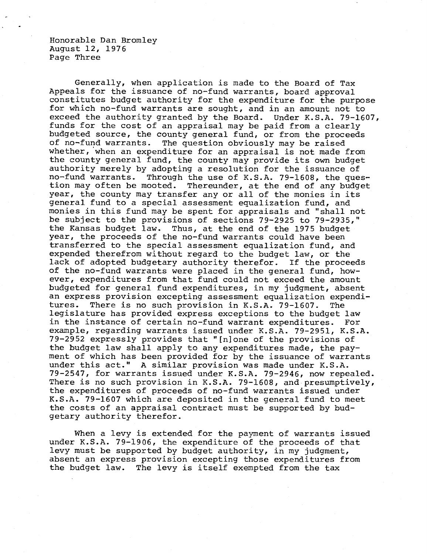Honorable Dan Bromley August 12, 1976 Page Three

Generally, when application is made to the Board of Tax Appeals for the issuance of no-fund warrants, board approval constitutes budget authority for the expenditure for the purpose for which no-fund warrants are sought, and in an amount not to exceed the authority granted by the Board. Under K.S.A. 79-1607, funds for the cost of an appraisal may be paid from a clearly budgeted source, the county general fund, or from the proceeds of no-fund warrants. The question obviously may be raised The question obviously may be raised whether, when an expenditure for an appraisal is not made from the county general fund, the county may provide its own budget authority merely by adopting a resolution for the issuance of no-fund warrants. Through the use of K.S.A. 79-1608, the que no-fund warrants. Through the use of K.S.A. 79-1608, the ques-<br>tion may often be mooted. Thereunder, at the end of any budget Thereunder, at the end of any budget year, the county may transfer any or all of the monies in its general fund to a special assessment equalization fund, and monies in this fund may be spent for appraisals and "shall not be subject to the provisions of sections 79-2925 to 79-2935," the Kansas budget law. Thus, at the end of the 1975 budget year, the proceeds of the no-fund warrants could have been transferred to the special assessment equalization fund, and expended therefrom without regard to the budget law, or the lack of adopted budgetary authority therefor. If the proceeds of the no-fund warrants were placed in the general fund, however, expenditures from that fund could not exceed the amount budgeted for general fund expenditures, in my judgment, absent an express provision excepting assessment equalization expenditures. There is no such provision in K.S.A. 79-1607. The legislature has provided express exceptions to the budget law in the instance of certain no-fund warrant expenditures. For example, regarding warrants issued under K.S.A. 79-2951, K.S.A. 79-2952 expressly provides that "[n]one of the provisions of the budget law shall apply to any expenditures made, the payment of which has been provided for by the issuance of warrants under this act." A similar provision was made under K.S.A. 79-2547, for warrants issued under K.S.A. 79-2946, now repealed. There is no such provision in K.S.A. 79-1608, and presumptively, the expenditures of proceeds of no-fund warrants issued under K.S.A. 79-1607 which are deposited in the general fund to meet the costs of an appraisal contract must be supported by budgetary authority therefor.

When a levy is extended for the payment of warrants issued under K.S.A. 79-1906, the expenditure of the proceeds of that levy must be supported by budget authority, in my judgment, absent an express provision excepting those expenditures from the budget law. The levy is itself exempted from the tax